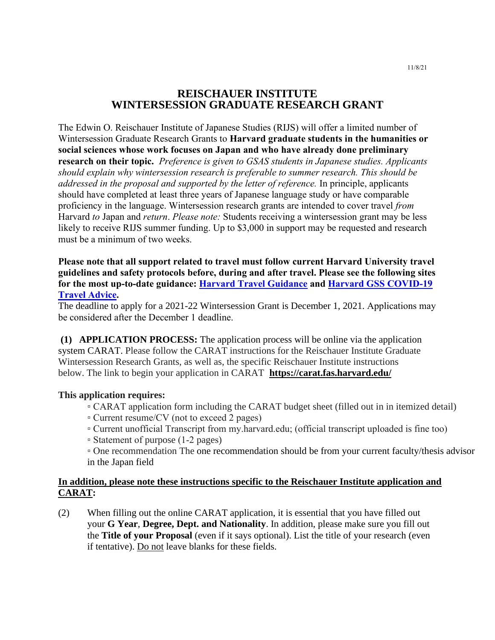# **REISCHAUER INSTITUTE WINTERSESSION GRADUATE RESEARCH GRANT**

The Edwin O. Reischauer Institute of Japanese Studies (RIJS) will offer a limited number of Wintersession Graduate Research Grants to **Harvard graduate students in the humanities or social sciences whose work focuses on Japan and who have already done preliminary research on their topic.** *Preference is given to GSAS students in Japanese studies. Applicants should explain why wintersession research is preferable to summer research. This should be addressed in the proposal and supported by the letter of reference.* In principle, applicants should have completed at least three years of Japanese language study or have comparable proficiency in the language. Wintersession research grants are intended to cover travel *from* Harvard *to* Japan and *return*. *Please note:* Students receiving a wintersession grant may be less likely to receive RIJS summer funding. Up to \$3,000 in support may be requested and research must be a minimum of two weeks.

## **Please note that all support related to travel must follow current Harvard University travel guidelines and safety protocols before, during and after travel. Please see the following sites for the most up-to-date guidance: [Harvard Travel Guidance](https://www.harvard.edu/coronavirus/travel-guidance/) and [Harvard GSS COVID-19](https://www.globalsupport.harvard.edu/news-events/coronavirus-advice-travelers)  [Travel Advice.](https://www.globalsupport.harvard.edu/news-events/coronavirus-advice-travelers)**

The deadline to apply for a 2021-22 Wintersession Grant is December 1, 2021. Applications may be considered after the December 1 deadline.

**(1) APPLICATION PROCESS:** The application process will be online via the application system CARAT. Please follow the CARAT instructions for the Reischauer Institute Graduate Wintersession Research Grants, as well as, the specific Reischauer Institute instructions below. The link to begin your application in CARAT **<https://carat.fas.harvard.edu/>**

### **This application requires:**

- CARAT application form including the CARAT budget sheet (filled out in in itemized detail)
- Current resume/CV (not to exceed 2 pages)
- Current unofficial Transcript from my.harvard.edu; (official transcript uploaded is fine too)
- Statement of purpose (1-2 pages)

▫ One recommendation The one recommendation should be from your current faculty/thesis advisor in the Japan field

## **In addition, please note these instructions specific to the Reischauer Institute application and CARAT:**

(2) When filling out the online CARAT application, it is essential that you have filled out your **G Year**, **Degree, Dept. and Nationality**. In addition, please make sure you fill out the **Title of your Proposal** (even if it says optional). List the title of your research (even if tentative). Do not leave blanks for these fields.